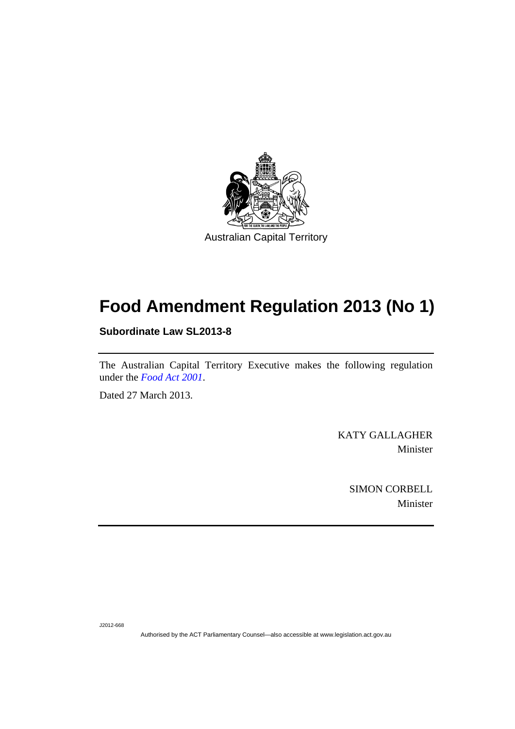

# **Food Amendment Regulation 2013 (No 1)**

**Subordinate Law SL2013-8** 

The Australian Capital Territory Executive makes the following regulation under the *[Food Act 2001](http://www.legislation.act.gov.au/a/2001-66)*.

Dated 27 March 2013.

KATY GALLAGHER Minister

> SIMON CORBELL Minister

J2012-668

Authorised by the ACT Parliamentary Counsel—also accessible at www.legislation.act.gov.au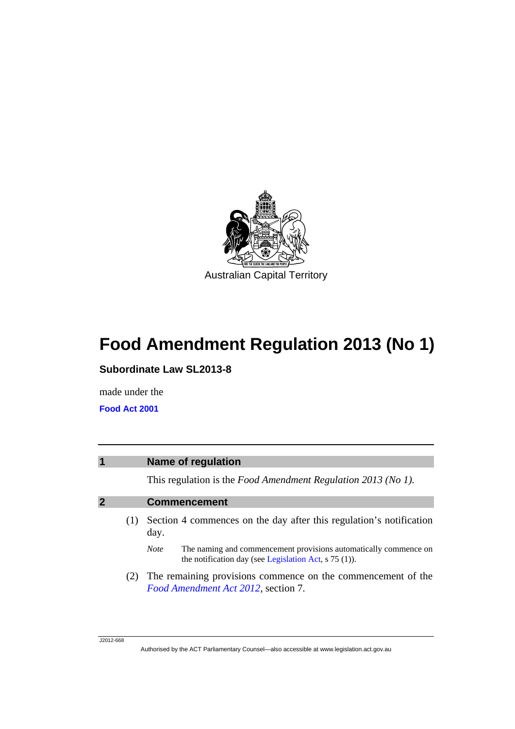

# **Food Amendment Regulation 2013 (No 1)**

**Subordinate Law SL2013-8** 

made under the

**[Food Act 2001](http://www.legislation.act.gov.au/a/2001-66/default.asp)**

| $\overline{\mathbf{1}}$ |     | Name of regulation                                                                                                                         |  |  |
|-------------------------|-----|--------------------------------------------------------------------------------------------------------------------------------------------|--|--|
|                         |     | This regulation is the Food Amendment Regulation 2013 (No 1).                                                                              |  |  |
| $\overline{2}$          |     | <b>Commencement</b>                                                                                                                        |  |  |
|                         | (1) | Section 4 commences on the day after this regulation's notification<br>day.                                                                |  |  |
|                         |     | The naming and commencement provisions automatically commence on<br><b>Note</b><br>the notification day (see Legislation Act, $s$ 75 (1)). |  |  |
|                         |     | The remaining provisions commence on the commencement of the<br>Food Amendment Act 2012, section 7.                                        |  |  |
|                         |     |                                                                                                                                            |  |  |

Authorised by the ACT Parliamentary Counsel—also accessible at www.legislation.act.gov.au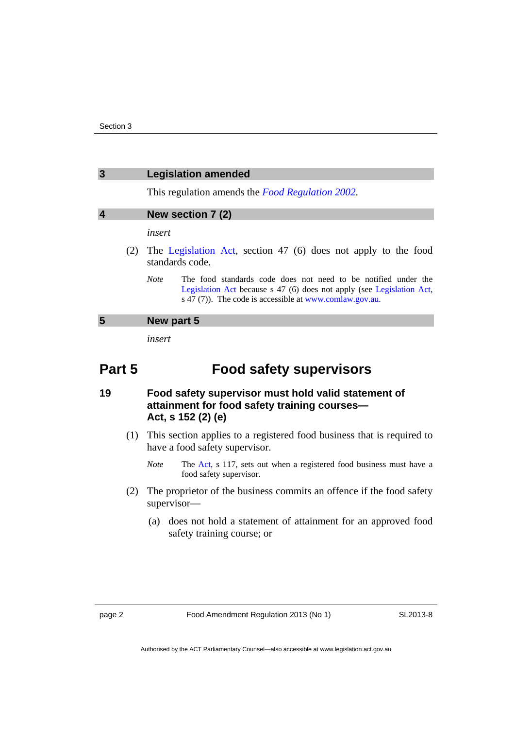| 3 | <b>Legislation amended</b> |  |
|---|----------------------------|--|
|   |                            |  |

This regulation amends the *[Food Regulation 2002](http://www.legislation.act.gov.au/sl/2002-10)*.

### **4 New section 7 (2)**

*insert* 

- (2) The [Legislation Act](http://www.legislation.act.gov.au/a/2001-14), section 47 (6) does not apply to the food standards code.
	- *Note* The food standards code does not need to be notified under the [Legislation Act](http://www.legislation.act.gov.au/a/2001-14) because s 47 (6) does not apply (see [Legislation Act,](http://www.legislation.act.gov.au/a/2001-14) s 47 (7)). The code is accessible at [www.comlaw.gov.au.](http://www.comlaw.gov.au/)

# **5 New part 5**

*insert* 

# **Part 5 Food safety supervisors**

# **19 Food safety supervisor must hold valid statement of attainment for food safety training courses— Act, s 152 (2) (e)**

- (1) This section applies to a registered food business that is required to have a food safety supervisor.
	- *Note* The [Act,](http://www.legislation.act.gov.au/a/2001-66/default.asp) s 117, sets out when a registered food business must have a food safety supervisor.
- (2) The proprietor of the business commits an offence if the food safety supervisor—
	- (a) does not hold a statement of attainment for an approved food safety training course; or

SL2013-8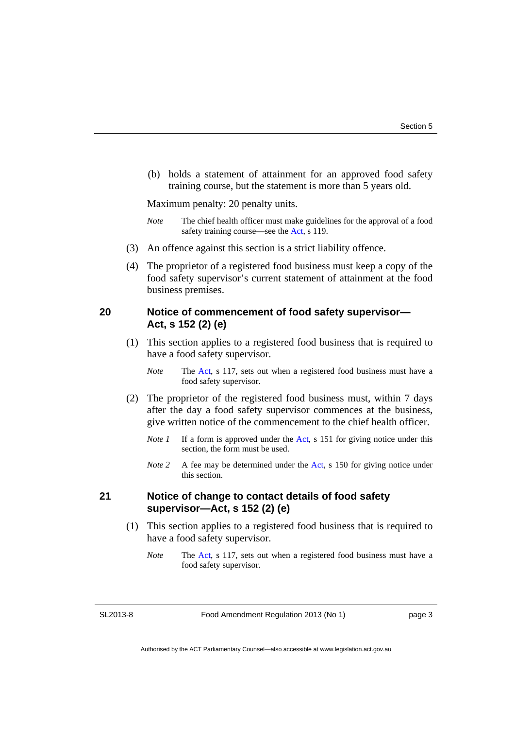(b) holds a statement of attainment for an approved food safety training course, but the statement is more than 5 years old.

Maximum penalty: 20 penalty units.

- *Note* The chief health officer must make guidelines for the approval of a food safety training course—see the [Act,](http://www.legislation.act.gov.au/a/2001-66/default.asp) s 119.
- (3) An offence against this section is a strict liability offence.
- (4) The proprietor of a registered food business must keep a copy of the food safety supervisor's current statement of attainment at the food business premises.

# **20 Notice of commencement of food safety supervisor— Act, s 152 (2) (e)**

- (1) This section applies to a registered food business that is required to have a food safety supervisor.
	- *Note* The [Act,](http://www.legislation.act.gov.au/a/2001-66/default.asp) s 117, sets out when a registered food business must have a food safety supervisor.
- (2) The proprietor of the registered food business must, within 7 days after the day a food safety supervisor commences at the business, give written notice of the commencement to the chief health officer.
	- *Note 1* If a form is approved under the [Act](http://www.legislation.act.gov.au/a/2001-66/default.asp), s 151 for giving notice under this section, the form must be used.
	- *Note 2* A fee may be determined under the [Act](http://www.legislation.act.gov.au/a/2001-66/default.asp), s 150 for giving notice under this section.

## **21 Notice of change to contact details of food safety supervisor—Act, s 152 (2) (e)**

- (1) This section applies to a registered food business that is required to have a food safety supervisor.
	- *Note* The [Act,](http://www.legislation.act.gov.au/a/2001-66/default.asp) s 117, sets out when a registered food business must have a food safety supervisor.

SL2013-8

Food Amendment Regulation 2013 (No 1)

page 3